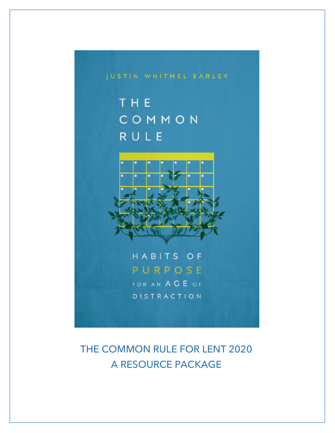THE COMMON RULE



HABITS OF PURPOSE

FOR AN AGE OF DISTRACTION

THE COMMON RULE FOR LENT 2020 A RESOURCE PACKAGE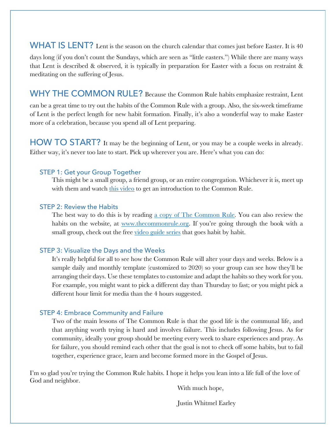WHAT IS LENT? Lent is the season on the church calendar that comes just before Easter. It is 40

days long (if you don't count the Sundays, which are seen as "little easters.") While there are many ways that Lent is described & observed, it is typically in preparation for Easter with a focus on restraint & meditating on the suffering of Jesus.

WHY THE COMMON RULE? Because the Common Rule habits emphasize restraint, Lent

can be a great time to try out the habits of the Common Rule with a group. Also, the six-week timeframe of Lent is the perfect length for new habit formation. Finally, it's also a wonderful way to make Easter more of a celebration, because you spend all of Lent preparing.

HOW TO START? It may be the beginning of Lent, or you may be a couple weeks in already. Either way, it's never too late to start. Pick up wherever you are. Here's what you can do:

### STEP 1: Get your Group Together

This might be a small group, a friend group, or an entire congregation. Whichever it is, meet up with them and watch [this video](https://www.youtube.com/watch?v=ImfwAT1T5lk&feature=youtu.be) to get an introduction to the Common Rule.

### STEP 2: Review the Habits

The best way to do this is by reading [a copy of The Common Rule.](https://www.amazon.com/Common-Rule-Justin-Whitmel-Earley/dp/0830845607) You can also review the habits on the website, at www.thecommonrule.org. If you're going through the book with a small group, check out the free [video guide series](https://www.thecommonrule.org/video-series) that goes habit by habit.

### STEP 3: Visualize the Days and the Weeks

It's really helpful for all to see how the Common Rule will alter your days and weeks. Below is a sample daily and monthly template (customized to 2020) so your group can see how they'll be arranging their days. Use these templates to customize and adapt the habits so they work for you. For example, you might want to pick a different day than Thursday to fast; or you might pick a different hour limit for media than the 4 hours suggested.

### STEP 4: Embrace Community and Failure

Two of the main lessons of The Common Rule is that the good life is the communal life, and that anything worth trying is hard and involves failure. This includes following Jesus. As for community, ideally your group should be meeting every week to share experiences and pray. As for failure, you should remind each other that the goal is not to check off some habits, but to fail together, experience grace, learn and become formed more in the Gospel of Jesus.

I'm so glad you're trying the Common Rule habits. I hope it helps you lean into a life full of the love of God and neighbor.

With much hope,

Justin Whitmel Earley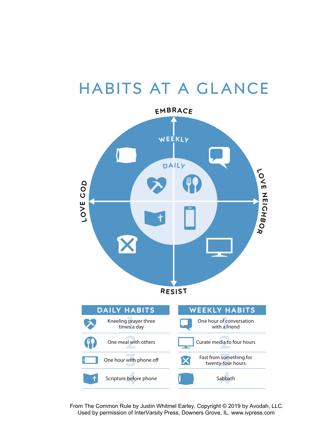# Habits at a Glance



From The Common Rule by Justin Whitmel Earley. Copyright © 2019 by Avodah, LLC. Used by permission of InterVarsity Press, Downers Grove, IL. www.ivpress.com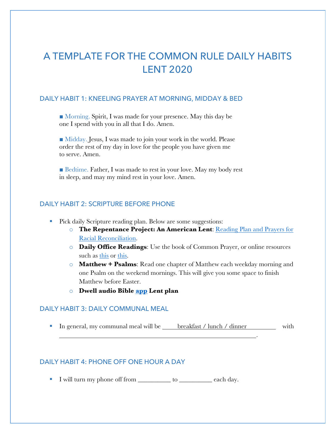## A TEMPLATE FOR THE COMMON RULE DAILY HABITS LENT 2020

### DAILY HABIT 1: KNEELING PRAYER AT MORNING, MIDDAY & BED

■ Morning. Spirit, I was made for your presence. May this day be one I spend with you in all that I do. Amen.

■ Midday. Jesus, I was made to join your work in the world. Please order the rest of my day in love for the people you have given me to serve. Amen.

■ Bedtime. Father, I was made to rest in your love. May my body rest in sleep, and may my mind rest in your love. Amen.

### DAILY HABIT 2: SCRIPTURE BEFORE PHONE

- Pick daily Scripture reading plan. Below are some suggestions:
	- o **[The Repentance Project: An American Lent](https://repentanceproject.org/index.php/an-american-lent/)**: Reading Plan and Prayers for Racial Reconciliation.
	- o **Daily Office Readings**: Use the book of Common Prayer, or online resources such as [this](https://itunes.apple.com/us/app/daily-prayer/id818491760?mt=8) or [this.](https://itunes.apple.com/us/app/daily-prayer-pc-usa/id568520697?ls=1&mt=8)
	- o **Matthew + Psalms**: Read one chapter of Matthew each weekday morning and one Psalm on the weekend mornings. This will give you some space to finish Matthew before Easter.
	- o **Dwell audio Bible [app](https://dwellapp.io/) Lent plan**

### DAILY HABIT 3: DAILY COMMUNAL MEAL

■ In general, my communal meal will be breakfast / lunch / dinner with

.

### DAILY HABIT 4: PHONE OFF ONE HOUR A DAY

■ I will turn my phone off from to each day.